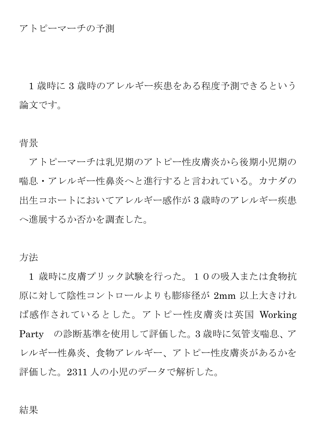### アトピーマーチの予測

1 歳時に 3 歳時のアレルギー疾患をある程度予測できるという 論文です。

#### 背景

アトピーマーチは乳児期のアトピー性皮膚炎から後期小児期の 喘息・アレルギー性鼻炎へと進行すると言われている。カナダの 出生コホートにおいてアレルギー感作が 3 歳時のアレルギー疾患 へ進展するか否かを調査した。

### 方法

1 歳時に皮膚プリック試験を行った。10の吸入または食物抗 原に対して陰性コントロールよりも膨疹径が 2mm 以上大きけれ ば感作されているとした。アトピー性皮膚炎は英国 Working Party の診断基準を使用して評価した。3 歳時に気管支喘息、ア レルギー性鼻炎、食物アレルギー、アトピー性皮膚炎があるかを 評価した。2311 人の小児のデータで解析した。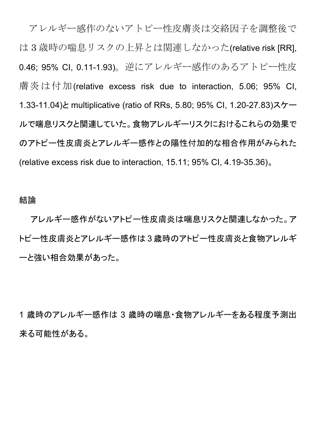アレルギー感作のないアトピー性皮膚炎は交絡因子を調整後で は 3 歳時の喘息リスクの上昇とは関連しなかった(relative risk [RR], 0.46; 95% CI, 0.11-1.93)。逆にアレルギー感作のあるアトピー性皮 膚炎は付加(relative excess risk due to interaction, 5.06; 95% CI, 1.33-11.04)と multiplicative (ratio of RRs, 5.80; 95% CI, 1.20-27.83)スケー ルで喘息リスクと関連していた。食物アレルギーリスクにおけるこれらの効果で のアトピー性皮膚炎とアレルギー感作との陽性付加的な相合作用がみられた (relative excess risk due to interaction, 15.11; 95% CI, 4.19-35.36)。

#### 結論

アレルギー感作がないアトピー性皮膚炎は喘息リスクと関連しなかった。ア トピー性皮膚炎とアレルギー感作は 3 歳時のアトピー性皮膚炎と食物アレルギ ーと強い相合効果があった。

1 歳時のアレルギー感作は 3 歳時の喘息・食物アレルギーをある程度予測出 来る可能性がある。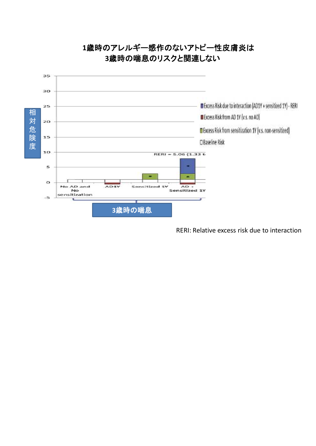

## **1**歳時のアレルギー感作のないアトピー性皮膚炎は **3**歳時の喘息のリスクと関連しない

RERI: Relative excess risk due to interaction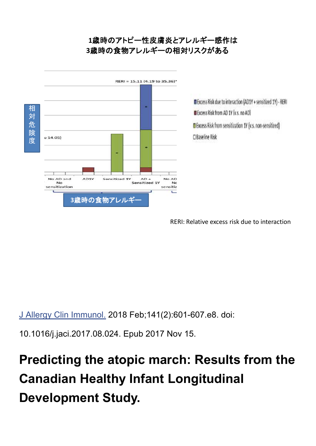## **1**歳時のアトピー性皮膚炎とアレルギー感作は **3**歳時の食物アレルギーの相対リスクがある



Excess Risk due to interaction (AD1Y + sensitized 1Y) - RERI Excess Risk from AD 1Y (v.s. no AD) Excess Risk from sensitization 1Y (v.s. non-sensitized) □ Baseline Risk

RERI: Relative excess risk due to interaction

J Allergy Clin Immunol. 2018 Feb;141(2):601-607.e8. doi:

10.1016/j.jaci.2017.08.024. Epub 2017 Nov 15.

# **Predicting the atopic march: Results from the Canadian Healthy Infant Longitudinal Development Study.**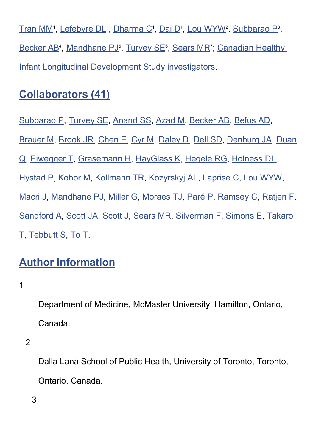<u>Tran MM</u>', <u>Lefebvre DL</u>', <u>Dharma C</u>', <u>Dai D</u>', <u>Lou WYW</u>', <u>Subbarao P</u>', Becker AB<sup>4</sup>, Mandhane PJ<sup>5</sup>, Turvey SE<sup>6</sup>, Sears MR<sup>7</sup>; Canadian Healthy Infant Longitudinal Development Study investigators.

# **Collaborators (41)**

Subbarao P, Turvey SE, Anand SS, Azad M, Becker AB, Befus AD, Brauer M, Brook JR, Chen E, Cyr M, Daley D, Dell SD, Denburg JA, Duan Q, Eiwegger T, Grasemann H, HayGlass K, Hegele RG, Holness DL, Hystad P, Kobor M, Kollmann TR, Kozyrskyj AL, Laprise C, Lou WYW, Macri J, Mandhane PJ, Miller G, Moraes TJ, Paré P, Ramsey C, Ratjen F, Sandford A, Scott JA, Scott J, Sears MR, Silverman F, Simons E, Takaro T, Tebbutt S, To T.

# **Author information**

1

Department of Medicine, McMaster University, Hamilton, Ontario, Canada.

Dalla Lana School of Public Health, University of Toronto, Toronto, Ontario, Canada.

3

<sup>2</sup>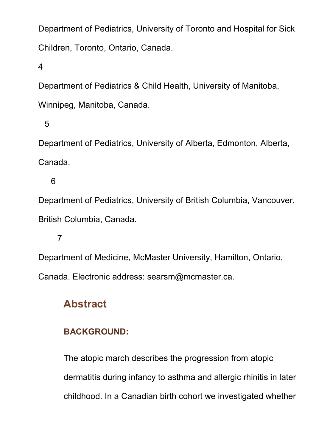Department of Pediatrics, University of Toronto and Hospital for Sick Children, Toronto, Ontario, Canada.

4

Department of Pediatrics & Child Health, University of Manitoba,

Winnipeg, Manitoba, Canada.

5

Department of Pediatrics, University of Alberta, Edmonton, Alberta, Canada.

6

Department of Pediatrics, University of British Columbia, Vancouver, British Columbia, Canada.

7

Department of Medicine, McMaster University, Hamilton, Ontario, Canada. Electronic address: searsm@mcmaster.ca.

# **Abstract**

### **BACKGROUND:**

The atopic march describes the progression from atopic dermatitis during infancy to asthma and allergic rhinitis in later childhood. In a Canadian birth cohort we investigated whether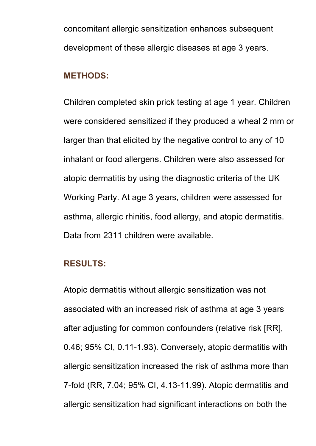concomitant allergic sensitization enhances subsequent development of these allergic diseases at age 3 years.

### **METHODS:**

Children completed skin prick testing at age 1 year. Children were considered sensitized if they produced a wheal 2 mm or larger than that elicited by the negative control to any of 10 inhalant or food allergens. Children were also assessed for atopic dermatitis by using the diagnostic criteria of the UK Working Party. At age 3 years, children were assessed for asthma, allergic rhinitis, food allergy, and atopic dermatitis. Data from 2311 children were available.

#### **RESULTS:**

Atopic dermatitis without allergic sensitization was not associated with an increased risk of asthma at age 3 years after adjusting for common confounders (relative risk [RR], 0.46; 95% CI, 0.11-1.93). Conversely, atopic dermatitis with allergic sensitization increased the risk of asthma more than 7-fold (RR, 7.04; 95% CI, 4.13-11.99). Atopic dermatitis and allergic sensitization had significant interactions on both the